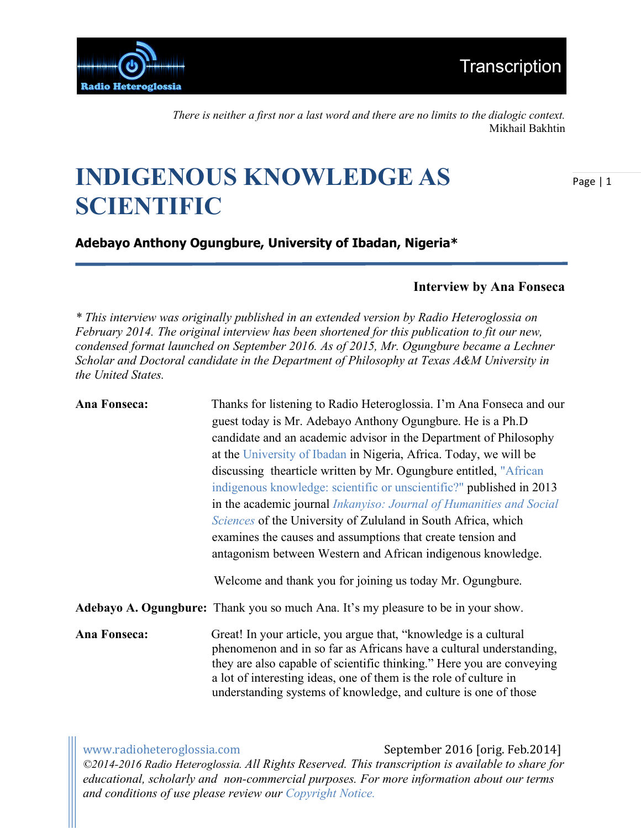

*There is neither a first nor a last word and there are no limits to the dialogic context.*  Mikhail Bakhtin

## **INDIGENOUS KNOWLEDGE AS SCIENTIFIC**

Page | 1

**Adebayo Anthony Ogungbure, University of Ibadan, Nigeria\***

## **Interview by Ana Fonseca**

*\* This interview was originally published in an extended version by Radio Heteroglossia on February 2014. The original interview has been shortened for this publication to fit our new, condensed format launched on September 2016. As of 2015, Mr. Ogungbure became a Lechner Scholar and Doctoral candidate in the Department of Philosophy at Texas A&M University in the United States.*

| Ana Fonseca:        | Thanks for listening to Radio Heteroglossia. I'm Ana Fonseca and our                                                                                                                                                                                                                                                                                     |
|---------------------|----------------------------------------------------------------------------------------------------------------------------------------------------------------------------------------------------------------------------------------------------------------------------------------------------------------------------------------------------------|
|                     | guest today is Mr. Adebayo Anthony Ogungbure. He is a Ph.D                                                                                                                                                                                                                                                                                               |
|                     | candidate and an academic advisor in the Department of Philosophy                                                                                                                                                                                                                                                                                        |
|                     | at the University of Ibadan in Nigeria, Africa. Today, we will be                                                                                                                                                                                                                                                                                        |
|                     | discussing thearticle written by Mr. Ogungbure entitled, "African                                                                                                                                                                                                                                                                                        |
|                     | indigenous knowledge: scientific or unscientific?" published in 2013                                                                                                                                                                                                                                                                                     |
|                     | in the academic journal Inkanyiso: Journal of Humanities and Social                                                                                                                                                                                                                                                                                      |
|                     | <i>Sciences</i> of the University of Zululand in South Africa, which                                                                                                                                                                                                                                                                                     |
|                     | examines the causes and assumptions that create tension and                                                                                                                                                                                                                                                                                              |
|                     | antagonism between Western and African indigenous knowledge.                                                                                                                                                                                                                                                                                             |
|                     | Welcome and thank you for joining us today Mr. Ogungbure.                                                                                                                                                                                                                                                                                                |
|                     | Adebayo A. Ogungbure: Thank you so much Ana. It's my pleasure to be in your show.                                                                                                                                                                                                                                                                        |
| <b>Ana Fonseca:</b> | Great! In your article, you argue that, "knowledge is a cultural<br>phenomenon and in so far as Africans have a cultural understanding,<br>they are also capable of scientific thinking." Here you are conveying<br>a lot of interesting ideas, one of them is the role of culture in<br>understanding systems of knowledge, and culture is one of those |
|                     |                                                                                                                                                                                                                                                                                                                                                          |

www.radioheteroglossia.com September 2016 [orig. Feb.2014] *©2014-2016 Radio Heteroglossia. All Rights Reserved. This transcription is available to share for educational, scholarly and non-commercial purposes. For more information about our terms and conditions of use please review our Copyright Notice.*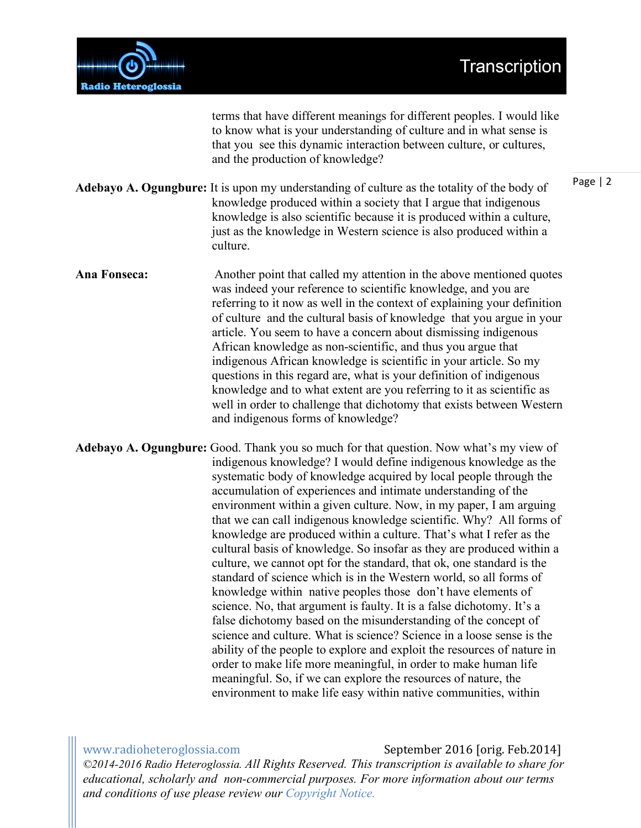



terms that have different meanings for different peoples. I would like to know what is your understanding of culture and in what sense is that you see this dynamic interaction between culture, or cultures, and the production of knowledge?

**Adebayo A. Ogungbure:** It is upon my understanding of culture as the totality of the body of knowledge produced within a society that I argue that indigenous knowledge is also scientific because it is produced within a culture, just as the knowledge in Western science is also produced within a culture.

**Ana Fonseca:** Another point that called my attention in the above mentioned quotes was indeed your reference to scientific knowledge, and you are referring to it now as well in the context of explaining your definition of culture and the cultural basis of knowledge that you argue in your article. You seem to have a concern about dismissing indigenous African knowledge as non-scientific, and thus you argue that indigenous African knowledge is scientific in your article. So my questions in this regard are, what is your definition of indigenous knowledge and to what extent are you referring to it as scientific as well in order to challenge that dichotomy that exists between Western and indigenous forms of knowledge?

**Adebayo A. Ogungbure:** Good. Thank you so much for that question. Now what's my view of indigenous knowledge? I would define indigenous knowledge as the systematic body of knowledge acquired by local people through the accumulation of experiences and intimate understanding of the environment within a given culture. Now, in my paper, I am arguing that we can call indigenous knowledge scientific. Why? All forms of knowledge are produced within a culture. That's what I refer as the cultural basis of knowledge. So insofar as they are produced within a culture, we cannot opt for the standard, that ok, one standard is the standard of science which is in the Western world, so all forms of knowledge within native peoples those don't have elements of science. No, that argument is faulty. It is a false dichotomy. It's a false dichotomy based on the misunderstanding of the concept of science and culture. What is science? Science in a loose sense is the ability of the people to explore and exploit the resources of nature in order to make life more meaningful, in order to make human life meaningful. So, if we can explore the resources of nature, the environment to make life easy within native communities, within

www.radioheteroglossia.com September 2016 [orig. Feb.2014] *©2014-2016 Radio Heteroglossia. All Rights Reserved. This transcription is available to share for educational, scholarly and non-commercial purposes. For more information about our terms and conditions of use please review our Copyright Notice.*

Page | 2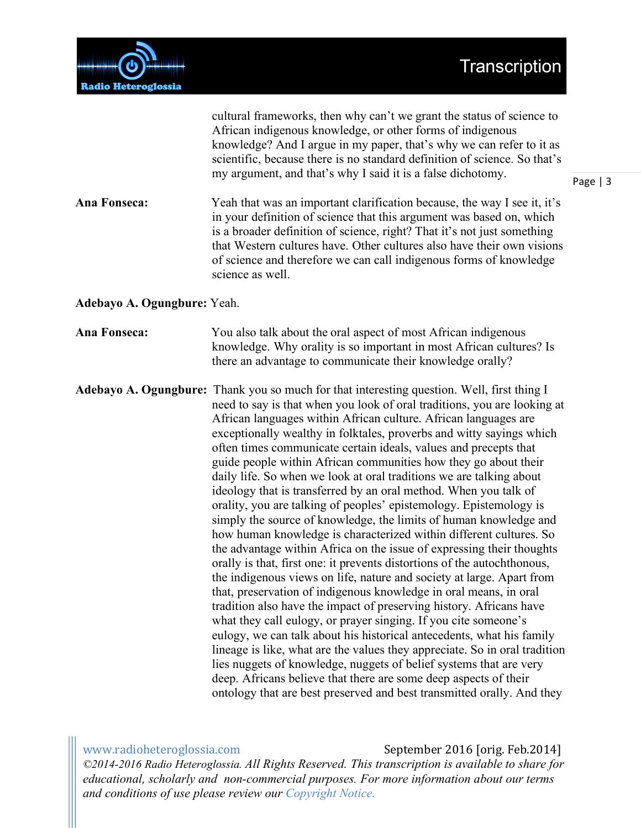Page | 3



African indigenous knowledge, or other forms of indigenous knowledge? And I argue in my paper, that's why we can refer to it as scientific, because there is no standard definition of science. So that's my argument, and that's why I said it is a false dichotomy. **Ana Fonseca:** Yeah that was an important clarification because, the way I see it, it's in your definition of science that this argument was based on, which is a broader definition of science, right? That it's not just something that Western cultures have. Other cultures also have their own visions of science and therefore we can call indigenous forms of knowledge science as well. **Adebayo A. Ogungbure:** Yeah. **Ana Fonseca:** You also talk about the oral aspect of most African indigenous knowledge. Why orality is so important in most African cultures? Is there an advantage to communicate their knowledge orally? **Adebayo A. Ogungbure:** Thank you so much for that interesting question. Well, first thing I need to say is that when you look of oral traditions, you are looking at African languages within African culture. African languages are exceptionally wealthy in folktales, proverbs and witty sayings which often times communicate certain ideals, values and precepts that guide people within African communities how they go about their daily life. So when we look at oral traditions we are talking about ideology that is transferred by an oral method. When you talk of orality, you are talking of peoples' epistemology. Epistemology is simply the source of knowledge, the limits of human knowledge and how human knowledge is characterized within different cultures. So the advantage within Africa on the issue of expressing their thoughts orally is that, first one: it prevents distortions of the autochthonous, the indigenous views on life, nature and society at large. Apart from that, preservation of indigenous knowledge in oral means, in oral tradition also have the impact of preserving history. Africans have what they call eulogy, or prayer singing. If you cite someone's eulogy, we can talk about his historical antecedents, what his family lineage is like, what are the values they appreciate. So in oral tradition lies nuggets of knowledge, nuggets of belief systems that are very deep. Africans believe that there are some deep aspects of their ontology that are best preserved and best transmitted orally. And they

cultural frameworks, then why can't we grant the status of science to

www.radioheteroglossia.com September 2016 [orig. Feb.2014]

*©2014-2016 Radio Heteroglossia. All Rights Reserved. This transcription is available to share for educational, scholarly and non-commercial purposes. For more information about our terms and conditions of use please review our Copyright Notice.*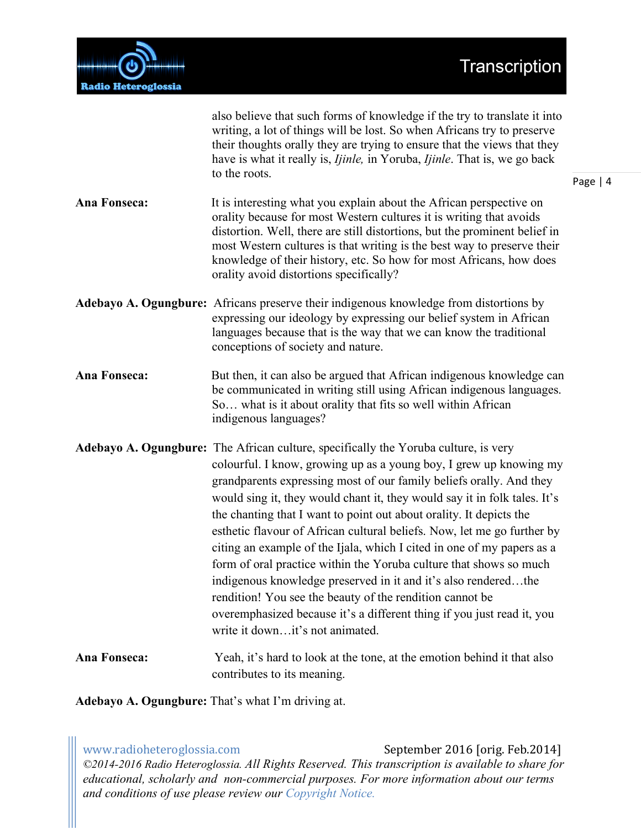

|                     | also believe that such forms of knowledge if the try to translate it into<br>writing, a lot of things will be lost. So when Africans try to preserve<br>their thoughts orally they are trying to ensure that the views that they<br>have is what it really is, <i>Ijinle</i> , in Yoruba, <i>Ijinle</i> . That is, we go back<br>to the roots.                                                                                                                                                                                                                                                                                                                                                                                                                                                                                                                    | Page   4 |
|---------------------|-------------------------------------------------------------------------------------------------------------------------------------------------------------------------------------------------------------------------------------------------------------------------------------------------------------------------------------------------------------------------------------------------------------------------------------------------------------------------------------------------------------------------------------------------------------------------------------------------------------------------------------------------------------------------------------------------------------------------------------------------------------------------------------------------------------------------------------------------------------------|----------|
| Ana Fonseca:        | It is interesting what you explain about the African perspective on<br>orality because for most Western cultures it is writing that avoids<br>distortion. Well, there are still distortions, but the prominent belief in<br>most Western cultures is that writing is the best way to preserve their<br>knowledge of their history, etc. So how for most Africans, how does<br>orality avoid distortions specifically?                                                                                                                                                                                                                                                                                                                                                                                                                                             |          |
|                     | Adebayo A. Ogungbure: Africans preserve their indigenous knowledge from distortions by<br>expressing our ideology by expressing our belief system in African<br>languages because that is the way that we can know the traditional<br>conceptions of society and nature.                                                                                                                                                                                                                                                                                                                                                                                                                                                                                                                                                                                          |          |
| Ana Fonseca:        | But then, it can also be argued that African indigenous knowledge can<br>be communicated in writing still using African indigenous languages.<br>So what is it about orality that fits so well within African<br>indigenous languages?                                                                                                                                                                                                                                                                                                                                                                                                                                                                                                                                                                                                                            |          |
|                     | <b>Adebayo A. Ogungbure:</b> The African culture, specifically the Yoruba culture, is very<br>colourful. I know, growing up as a young boy, I grew up knowing my<br>grandparents expressing most of our family beliefs orally. And they<br>would sing it, they would chant it, they would say it in folk tales. It's<br>the chanting that I want to point out about orality. It depicts the<br>esthetic flavour of African cultural beliefs. Now, let me go further by<br>citing an example of the Ijala, which I cited in one of my papers as a<br>form of oral practice within the Yoruba culture that shows so much<br>indigenous knowledge preserved in it and it's also renderedthe<br>rendition! You see the beauty of the rendition cannot be<br>overemphasized because it's a different thing if you just read it, you<br>write it downit's not animated. |          |
| <b>Ana Fonseca:</b> | Yeah, it's hard to look at the tone, at the emotion behind it that also<br>contributes to its meaning.                                                                                                                                                                                                                                                                                                                                                                                                                                                                                                                                                                                                                                                                                                                                                            |          |

**Adebayo A. Ogungbure:** That's what I'm driving at.

www.radioheteroglossia.com September 2016 [orig. Feb.2014] *©2014-2016 Radio Heteroglossia. All Rights Reserved. This transcription is available to share for educational, scholarly and non-commercial purposes. For more information about our terms and conditions of use please review our Copyright Notice.*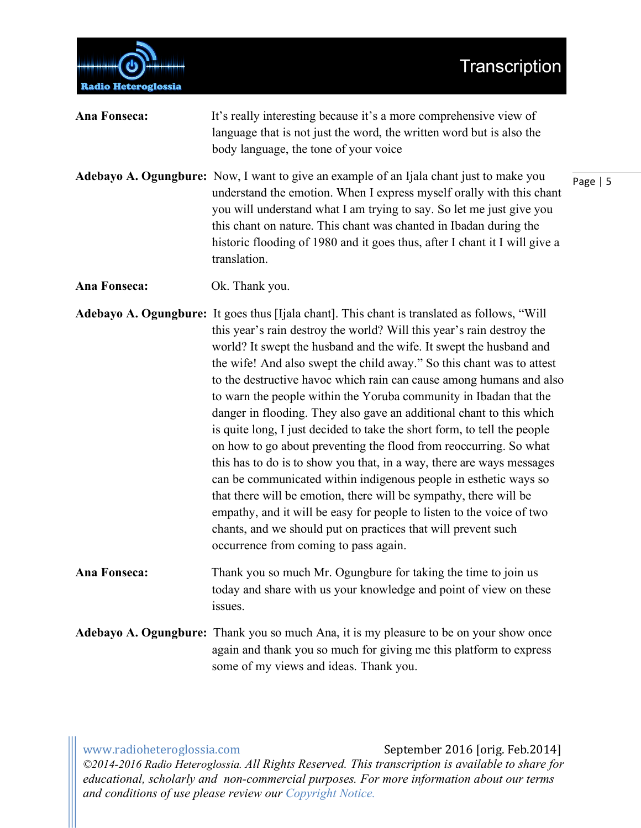

| Ana Fonseca: | It's really interesting because it's a more comprehensive view of<br>language that is not just the word, the written word but is also the<br>body language, the tone of your voice                                                                                                                                                                                                                                                                                                                                                                                                                                                                                                                                                                                                                                                                                                                                                                                                                                                                                                             |            |
|--------------|------------------------------------------------------------------------------------------------------------------------------------------------------------------------------------------------------------------------------------------------------------------------------------------------------------------------------------------------------------------------------------------------------------------------------------------------------------------------------------------------------------------------------------------------------------------------------------------------------------------------------------------------------------------------------------------------------------------------------------------------------------------------------------------------------------------------------------------------------------------------------------------------------------------------------------------------------------------------------------------------------------------------------------------------------------------------------------------------|------------|
|              | Adebayo A. Ogungbure: Now, I want to give an example of an Ijala chant just to make you<br>understand the emotion. When I express myself orally with this chant<br>you will understand what I am trying to say. So let me just give you<br>this chant on nature. This chant was chanted in Ibadan during the<br>historic flooding of 1980 and it goes thus, after I chant it I will give a<br>translation.                                                                                                                                                                                                                                                                                                                                                                                                                                                                                                                                                                                                                                                                                     | Page $  5$ |
| Ana Fonseca: | Ok. Thank you.                                                                                                                                                                                                                                                                                                                                                                                                                                                                                                                                                                                                                                                                                                                                                                                                                                                                                                                                                                                                                                                                                 |            |
|              | Adebayo A. Ogungbure: It goes thus [Ijala chant]. This chant is translated as follows, "Will<br>this year's rain destroy the world? Will this year's rain destroy the<br>world? It swept the husband and the wife. It swept the husband and<br>the wife! And also swept the child away." So this chant was to attest<br>to the destructive havoc which rain can cause among humans and also<br>to warn the people within the Yoruba community in Ibadan that the<br>danger in flooding. They also gave an additional chant to this which<br>is quite long, I just decided to take the short form, to tell the people<br>on how to go about preventing the flood from reoccurring. So what<br>this has to do is to show you that, in a way, there are ways messages<br>can be communicated within indigenous people in esthetic ways so<br>that there will be emotion, there will be sympathy, there will be<br>empathy, and it will be easy for people to listen to the voice of two<br>chants, and we should put on practices that will prevent such<br>occurrence from coming to pass again. |            |
| Ana Fonseca: | Thank you so much Mr. Ogungbure for taking the time to join us<br>today and share with us your knowledge and point of view on these<br>issues.                                                                                                                                                                                                                                                                                                                                                                                                                                                                                                                                                                                                                                                                                                                                                                                                                                                                                                                                                 |            |
|              | Adebayo A. Ogungbure: Thank you so much Ana, it is my pleasure to be on your show once<br>again and thank you so much for giving me this platform to express                                                                                                                                                                                                                                                                                                                                                                                                                                                                                                                                                                                                                                                                                                                                                                                                                                                                                                                                   |            |

www.radioheteroglossia.com September 2016 [orig. Feb.2014] *©2014-2016 Radio Heteroglossia. All Rights Reserved. This transcription is available to share for educational, scholarly and non-commercial purposes. For more information about our terms and conditions of use please review our Copyright Notice.*

some of my views and ideas. Thank you.